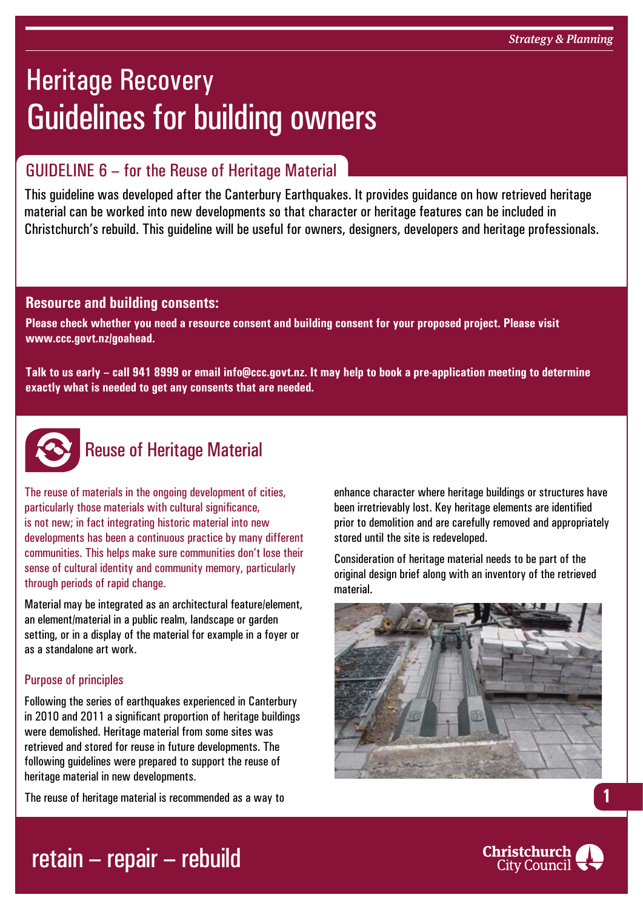# Heritage Recovery Guidelines for building owners

### GUIDELINE 6 – for the Reuse of Heritage Material

This guideline was developed after the Canterbury Earthquakes. It provides guidance on how retrieved heritage material can be worked into new developments so that character or heritage features can be included in Christchurch's rebuild. This guideline will be useful for owners, designers, developers and heritage professionals.

### **Resource and building consents:**

**Please check whether you need a resource consent and building consent for your proposed project. Please visit www.ccc.govt.nz/goahead.**

**Talk to us early – call 941 8999 or email info@ccc.govt.nz. It may help to book a pre-application meeting to determine exactly what is needed to get any consents that are needed.**



### Reuse of Heritage Material

The reuse of materials in the ongoing development of cities, particularly those materials with cultural significance, is not new; in fact integrating historic material into new developments has been a continuous practice by many different communities. This helps make sure communities don't lose their sense of cultural identity and community memory, particularly through periods of rapid change.

Material may be integrated as an architectural feature/element, an element/material in a public realm, landscape or garden setting, or in a display of the material for example in a foyer or as a standalone art work.

#### Purpose of principles

Following the series of earthquakes experienced in Canterbury in 2010 and 2011 a significant proportion of heritage buildings were demolished. Heritage material from some sites was retrieved and stored for reuse in future developments. The following guidelines were prepared to support the reuse of heritage material in new developments.

The reuse of heritage material is recommended as a way to

enhance character where heritage buildings or structures have been irretrievably lost. Key heritage elements are identified prior to demolition and are carefully removed and appropriately stored until the site is redeveloped.

Consideration of heritage material needs to be part of the original design brief along with an inventory of the retrieved material.





**1**

## retain – repair – rebuild